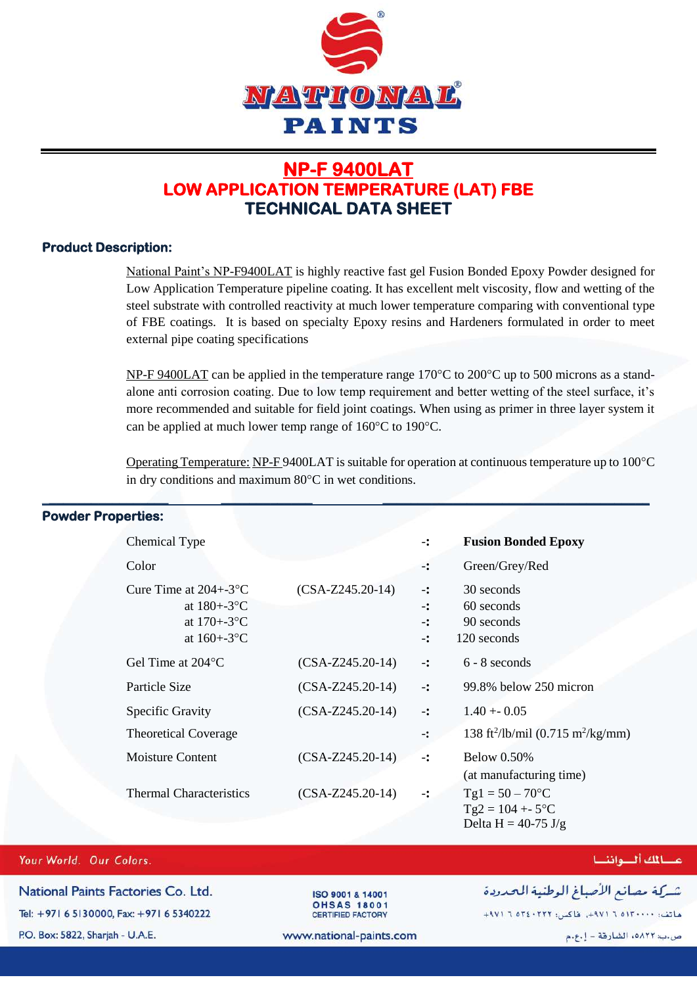

# **NP-F 9400LAT LOW APPLICATION TEMPERATURE (LAT) FBE TECHNICAL DATA SHEET**

### **Product Description:**

National Paint's NP-F9400LAT is highly reactive fast gel Fusion Bonded Epoxy Powder designed for Low Application Temperature pipeline coating. It has excellent melt viscosity, flow and wetting of the steel substrate with controlled reactivity at much lower temperature comparing with conventional type of FBE coatings. It is based on specialty Epoxy resins and Hardeners formulated in order to meet external pipe coating specifications

NP-F 9400LAT can be applied in the temperature range  $170^{\circ}$ C to  $200^{\circ}$ C up to 500 microns as a standalone anti corrosion coating. Due to low temp requirement and better wetting of the steel surface, it's more recommended and suitable for field joint coatings. When using as primer in three layer system it can be applied at much lower temp range of  $160^{\circ}$ C to 190 $^{\circ}$ C.

Operating Temperature: NP-F 9400LAT is suitable for operation at continuous temperature up to  $100^{\circ}$ C in dry conditions and maximum  $80^{\circ}$ C in wet conditions.

| <b>WAGI I IVPGIUGO.</b>                                                                            |                    |                                                                    |                                                                   |
|----------------------------------------------------------------------------------------------------|--------------------|--------------------------------------------------------------------|-------------------------------------------------------------------|
| Chemical Type                                                                                      |                    | $\ddot{\cdot}$                                                     | <b>Fusion Bonded Epoxy</b>                                        |
| Color                                                                                              |                    | ∹:                                                                 | Green/Grey/Red                                                    |
| Cure Time at $204 + -3$ <sup>o</sup> C<br>at $180 + -3$ °C<br>at $170 + -3$ °C<br>at $160 + -3$ °C | $(CSA-Z245.20-14)$ | $\ddot{\cdot}$<br>$\mathbf{L}$<br>$\ddot{\cdot}$<br>$\ddot{\cdot}$ | 30 seconds<br>60 seconds<br>90 seconds<br>120 seconds             |
| Gel Time at 204 °C                                                                                 | $(CSA-Z245.20-14)$ | $\ddot{\cdot}$                                                     | $6 - 8$ seconds                                                   |
| Particle Size                                                                                      | $(CSA-Z245.20-14)$ | $\ddot{\cdot}$                                                     | 99.8% below 250 micron                                            |
| <b>Specific Gravity</b>                                                                            | $(CSA-Z245.20-14)$ | $\mathbf{L}$                                                       | $1.40 + 0.05$                                                     |
| <b>Theoretical Coverage</b>                                                                        |                    | $\ddot{\cdot}$                                                     | 138 ft <sup>2</sup> /lb/mil (0.715 m <sup>2</sup> /kg/mm)         |
| <b>Moisture Content</b>                                                                            | $(CSA-Z245.20-14)$ | $\mathbf{L}$                                                       | <b>Below 0.50%</b><br>(at manufacturing time)                     |
| <b>Thermal Characteristics</b>                                                                     | $(CSA-Z245.20-14)$ | $\ddot{\cdot}$                                                     | $Tgl = 50 - 70$ °C<br>$Tg2 = 104 + 5$ °C<br>Delta H = $40-75$ J/g |

\_**\_\_\_\_\_\_\_\_\_\_\_\_\_\_\_\_\_ \_\_\_\_\_\_\_\_\_\_\_\_\_ \_\_\_\_\_\_\_\_\_\_\_\_\_\_\_\_\_\_\_\_\_\_\_\_\_\_\_\_\_\_\_\_\_\_\_\_\_\_**

## Powder Properties:

#### Your World. Our Colors.

National Paints Factories Co. Ltd. Tel: +971 6 5130000, Fax: +971 6 5340222

P.O. Box: 5822, Sharjah - U.A.E.

ISO 9001 & 14001 **OHSAS 18001** CERTIFIED FACTORY

### عسائك ألسواننسا

شركة مصانع الأصباغ الوطنية الحدودة

ماتف: ١٣٠٠٠٠١٥ ٦ ٩٧١م، طاكس: ٢٢٢٠٤٠٢ ٦ ٩٧١م+

www.national-paints.com

ص.ب: ٥٨٢٢ه، الشارقة - إ.ع.م